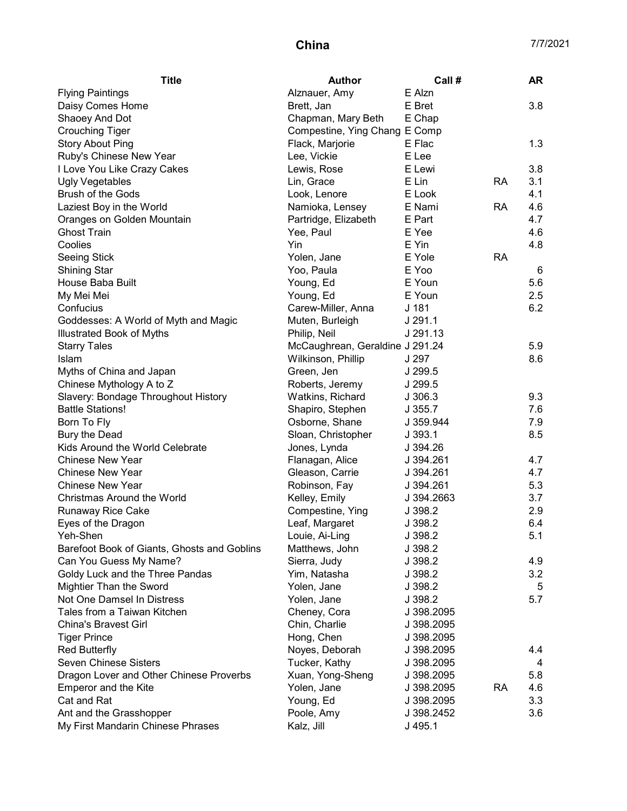| Alznauer, Amy<br>E Alzn<br><b>Flying Paintings</b><br>E Bret<br>3.8<br>Daisy Comes Home<br>Brett, Jan<br>E Chap<br>Shaoey And Dot<br>Chapman, Mary Beth<br><b>Crouching Tiger</b><br>Compestine, Ying Chang E Comp<br>1.3<br><b>Story About Ping</b><br>E Flac<br>Flack, Marjorie<br>Ruby's Chinese New Year<br>E Lee<br>Lee, Vickie<br>I Love You Like Crazy Cakes<br>E Lewi<br>3.8<br>Lewis, Rose<br>3.1<br>E Lin<br><b>RA</b><br><b>Ugly Vegetables</b><br>Lin, Grace<br><b>Brush of the Gods</b><br>E Look<br>4.1<br>Look, Lenore<br>Laziest Boy in the World<br>Namioka, Lensey<br>E Nami<br><b>RA</b><br>4.6<br>Oranges on Golden Mountain<br>Partridge, Elizabeth<br>E Part<br>4.7<br><b>Ghost Train</b><br>E Yee<br>4.6<br>Yee, Paul<br>Yin<br>E Yin<br>4.8<br>Coolies<br>E Yole<br><b>RA</b><br>Seeing Stick<br>Yolen, Jane<br>E Yoo<br><b>Shining Star</b><br>Yoo, Paula<br>6<br>House Baba Built<br>E Youn<br>5.6<br>Young, Ed<br>My Mei Mei<br>Young, Ed<br>E Youn<br>2.5<br>Carew-Miller, Anna<br>J <sub>181</sub><br>6.2<br>Confucius<br>J 291.1<br>Goddesses: A World of Myth and Magic<br>Muten, Burleigh<br>J 291.13<br>Illustrated Book of Myths<br>Philip, Neil<br>McCaughrean, Geraldine J 291.24<br>5.9<br><b>Starry Tales</b><br>Islam<br>8.6<br>Wilkinson, Phillip<br>J 297<br>J 299.5<br>Myths of China and Japan<br>Green, Jen<br>Chinese Mythology A to Z<br>Roberts, Jeremy<br>J 299.5<br>Slavery: Bondage Throughout History<br>9.3<br>Watkins, Richard<br>J306.3<br><b>Battle Stations!</b><br>7.6<br>Shapiro, Stephen<br>J.355.7<br>Born To Fly<br>Osborne, Shane<br>7.9<br>J 359.944<br>8.5<br>Bury the Dead<br>Sloan, Christopher<br>J393.1<br>Kids Around the World Celebrate<br>Jones, Lynda<br>J 394.26<br><b>Chinese New Year</b><br>Flanagan, Alice<br>4.7<br>J 394.261<br><b>Chinese New Year</b><br>Gleason, Carrie<br>4.7<br>J 394.261<br><b>Chinese New Year</b><br>Robinson, Fay<br>5.3<br>J 394.261<br>Christmas Around the World<br>Kelley, Emily<br>3.7<br>J 394.2663<br>Compestine, Ying<br>2.9<br>Runaway Rice Cake<br>J 398.2<br>Eyes of the Dragon<br>Leaf, Margaret<br>J 398.2<br>6.4<br>5.1<br>Yeh-Shen<br>Louie, Ai-Ling<br>J 398.2<br>Matthews, John<br>J 398.2<br>Barefoot Book of Giants, Ghosts and Goblins<br>4.9<br>Can You Guess My Name?<br>Sierra, Judy<br>J 398.2<br>Goldy Luck and the Three Pandas<br>3.2<br>Yim, Natasha<br>J 398.2<br>Mightier Than the Sword<br>Yolen, Jane<br>J 398.2<br>5<br>Not One Damsel In Distress<br>Yolen, Jane<br>J 398.2<br>5.7<br>Tales from a Taiwan Kitchen<br>Cheney, Cora<br>J 398.2095<br>Chin, Charlie<br><b>China's Bravest Girl</b><br>J 398.2095<br>Hong, Chen<br><b>Tiger Prince</b><br>J 398.2095<br>Noyes, Deborah<br><b>Red Butterfly</b><br>J 398.2095<br>4.4<br>Seven Chinese Sisters<br>Tucker, Kathy<br>J 398.2095<br>4<br>Dragon Lover and Other Chinese Proverbs<br>Xuan, Yong-Sheng<br>J 398.2095<br>5.8<br><b>RA</b><br><b>Emperor and the Kite</b><br>Yolen, Jane<br>J 398.2095<br>4.6<br>Cat and Rat<br>3.3<br>Young, Ed<br>J 398.2095<br>Poole, Amy<br>Ant and the Grasshopper<br>J 398.2452<br>3.6 | <b>Title</b>                      | <b>Author</b> | Call#   | <b>AR</b> |
|----------------------------------------------------------------------------------------------------------------------------------------------------------------------------------------------------------------------------------------------------------------------------------------------------------------------------------------------------------------------------------------------------------------------------------------------------------------------------------------------------------------------------------------------------------------------------------------------------------------------------------------------------------------------------------------------------------------------------------------------------------------------------------------------------------------------------------------------------------------------------------------------------------------------------------------------------------------------------------------------------------------------------------------------------------------------------------------------------------------------------------------------------------------------------------------------------------------------------------------------------------------------------------------------------------------------------------------------------------------------------------------------------------------------------------------------------------------------------------------------------------------------------------------------------------------------------------------------------------------------------------------------------------------------------------------------------------------------------------------------------------------------------------------------------------------------------------------------------------------------------------------------------------------------------------------------------------------------------------------------------------------------------------------------------------------------------------------------------------------------------------------------------------------------------------------------------------------------------------------------------------------------------------------------------------------------------------------------------------------------------------------------------------------------------------------------------------------------------------------------------------------------------------------------------------------------------------------------------------------------------------------------------------------------------------------------------------------------------------------------------------------------------------------------------------------------------------------------------------------------------------------------------------------------------------------------------------------------------------------------------------------------------------------------------------------------------------------------------------------------------|-----------------------------------|---------------|---------|-----------|
|                                                                                                                                                                                                                                                                                                                                                                                                                                                                                                                                                                                                                                                                                                                                                                                                                                                                                                                                                                                                                                                                                                                                                                                                                                                                                                                                                                                                                                                                                                                                                                                                                                                                                                                                                                                                                                                                                                                                                                                                                                                                                                                                                                                                                                                                                                                                                                                                                                                                                                                                                                                                                                                                                                                                                                                                                                                                                                                                                                                                                                                                                                                            |                                   |               |         |           |
|                                                                                                                                                                                                                                                                                                                                                                                                                                                                                                                                                                                                                                                                                                                                                                                                                                                                                                                                                                                                                                                                                                                                                                                                                                                                                                                                                                                                                                                                                                                                                                                                                                                                                                                                                                                                                                                                                                                                                                                                                                                                                                                                                                                                                                                                                                                                                                                                                                                                                                                                                                                                                                                                                                                                                                                                                                                                                                                                                                                                                                                                                                                            |                                   |               |         |           |
|                                                                                                                                                                                                                                                                                                                                                                                                                                                                                                                                                                                                                                                                                                                                                                                                                                                                                                                                                                                                                                                                                                                                                                                                                                                                                                                                                                                                                                                                                                                                                                                                                                                                                                                                                                                                                                                                                                                                                                                                                                                                                                                                                                                                                                                                                                                                                                                                                                                                                                                                                                                                                                                                                                                                                                                                                                                                                                                                                                                                                                                                                                                            |                                   |               |         |           |
|                                                                                                                                                                                                                                                                                                                                                                                                                                                                                                                                                                                                                                                                                                                                                                                                                                                                                                                                                                                                                                                                                                                                                                                                                                                                                                                                                                                                                                                                                                                                                                                                                                                                                                                                                                                                                                                                                                                                                                                                                                                                                                                                                                                                                                                                                                                                                                                                                                                                                                                                                                                                                                                                                                                                                                                                                                                                                                                                                                                                                                                                                                                            |                                   |               |         |           |
|                                                                                                                                                                                                                                                                                                                                                                                                                                                                                                                                                                                                                                                                                                                                                                                                                                                                                                                                                                                                                                                                                                                                                                                                                                                                                                                                                                                                                                                                                                                                                                                                                                                                                                                                                                                                                                                                                                                                                                                                                                                                                                                                                                                                                                                                                                                                                                                                                                                                                                                                                                                                                                                                                                                                                                                                                                                                                                                                                                                                                                                                                                                            |                                   |               |         |           |
|                                                                                                                                                                                                                                                                                                                                                                                                                                                                                                                                                                                                                                                                                                                                                                                                                                                                                                                                                                                                                                                                                                                                                                                                                                                                                                                                                                                                                                                                                                                                                                                                                                                                                                                                                                                                                                                                                                                                                                                                                                                                                                                                                                                                                                                                                                                                                                                                                                                                                                                                                                                                                                                                                                                                                                                                                                                                                                                                                                                                                                                                                                                            |                                   |               |         |           |
|                                                                                                                                                                                                                                                                                                                                                                                                                                                                                                                                                                                                                                                                                                                                                                                                                                                                                                                                                                                                                                                                                                                                                                                                                                                                                                                                                                                                                                                                                                                                                                                                                                                                                                                                                                                                                                                                                                                                                                                                                                                                                                                                                                                                                                                                                                                                                                                                                                                                                                                                                                                                                                                                                                                                                                                                                                                                                                                                                                                                                                                                                                                            |                                   |               |         |           |
|                                                                                                                                                                                                                                                                                                                                                                                                                                                                                                                                                                                                                                                                                                                                                                                                                                                                                                                                                                                                                                                                                                                                                                                                                                                                                                                                                                                                                                                                                                                                                                                                                                                                                                                                                                                                                                                                                                                                                                                                                                                                                                                                                                                                                                                                                                                                                                                                                                                                                                                                                                                                                                                                                                                                                                                                                                                                                                                                                                                                                                                                                                                            |                                   |               |         |           |
|                                                                                                                                                                                                                                                                                                                                                                                                                                                                                                                                                                                                                                                                                                                                                                                                                                                                                                                                                                                                                                                                                                                                                                                                                                                                                                                                                                                                                                                                                                                                                                                                                                                                                                                                                                                                                                                                                                                                                                                                                                                                                                                                                                                                                                                                                                                                                                                                                                                                                                                                                                                                                                                                                                                                                                                                                                                                                                                                                                                                                                                                                                                            |                                   |               |         |           |
|                                                                                                                                                                                                                                                                                                                                                                                                                                                                                                                                                                                                                                                                                                                                                                                                                                                                                                                                                                                                                                                                                                                                                                                                                                                                                                                                                                                                                                                                                                                                                                                                                                                                                                                                                                                                                                                                                                                                                                                                                                                                                                                                                                                                                                                                                                                                                                                                                                                                                                                                                                                                                                                                                                                                                                                                                                                                                                                                                                                                                                                                                                                            |                                   |               |         |           |
|                                                                                                                                                                                                                                                                                                                                                                                                                                                                                                                                                                                                                                                                                                                                                                                                                                                                                                                                                                                                                                                                                                                                                                                                                                                                                                                                                                                                                                                                                                                                                                                                                                                                                                                                                                                                                                                                                                                                                                                                                                                                                                                                                                                                                                                                                                                                                                                                                                                                                                                                                                                                                                                                                                                                                                                                                                                                                                                                                                                                                                                                                                                            |                                   |               |         |           |
|                                                                                                                                                                                                                                                                                                                                                                                                                                                                                                                                                                                                                                                                                                                                                                                                                                                                                                                                                                                                                                                                                                                                                                                                                                                                                                                                                                                                                                                                                                                                                                                                                                                                                                                                                                                                                                                                                                                                                                                                                                                                                                                                                                                                                                                                                                                                                                                                                                                                                                                                                                                                                                                                                                                                                                                                                                                                                                                                                                                                                                                                                                                            |                                   |               |         |           |
|                                                                                                                                                                                                                                                                                                                                                                                                                                                                                                                                                                                                                                                                                                                                                                                                                                                                                                                                                                                                                                                                                                                                                                                                                                                                                                                                                                                                                                                                                                                                                                                                                                                                                                                                                                                                                                                                                                                                                                                                                                                                                                                                                                                                                                                                                                                                                                                                                                                                                                                                                                                                                                                                                                                                                                                                                                                                                                                                                                                                                                                                                                                            |                                   |               |         |           |
|                                                                                                                                                                                                                                                                                                                                                                                                                                                                                                                                                                                                                                                                                                                                                                                                                                                                                                                                                                                                                                                                                                                                                                                                                                                                                                                                                                                                                                                                                                                                                                                                                                                                                                                                                                                                                                                                                                                                                                                                                                                                                                                                                                                                                                                                                                                                                                                                                                                                                                                                                                                                                                                                                                                                                                                                                                                                                                                                                                                                                                                                                                                            |                                   |               |         |           |
|                                                                                                                                                                                                                                                                                                                                                                                                                                                                                                                                                                                                                                                                                                                                                                                                                                                                                                                                                                                                                                                                                                                                                                                                                                                                                                                                                                                                                                                                                                                                                                                                                                                                                                                                                                                                                                                                                                                                                                                                                                                                                                                                                                                                                                                                                                                                                                                                                                                                                                                                                                                                                                                                                                                                                                                                                                                                                                                                                                                                                                                                                                                            |                                   |               |         |           |
|                                                                                                                                                                                                                                                                                                                                                                                                                                                                                                                                                                                                                                                                                                                                                                                                                                                                                                                                                                                                                                                                                                                                                                                                                                                                                                                                                                                                                                                                                                                                                                                                                                                                                                                                                                                                                                                                                                                                                                                                                                                                                                                                                                                                                                                                                                                                                                                                                                                                                                                                                                                                                                                                                                                                                                                                                                                                                                                                                                                                                                                                                                                            |                                   |               |         |           |
|                                                                                                                                                                                                                                                                                                                                                                                                                                                                                                                                                                                                                                                                                                                                                                                                                                                                                                                                                                                                                                                                                                                                                                                                                                                                                                                                                                                                                                                                                                                                                                                                                                                                                                                                                                                                                                                                                                                                                                                                                                                                                                                                                                                                                                                                                                                                                                                                                                                                                                                                                                                                                                                                                                                                                                                                                                                                                                                                                                                                                                                                                                                            |                                   |               |         |           |
|                                                                                                                                                                                                                                                                                                                                                                                                                                                                                                                                                                                                                                                                                                                                                                                                                                                                                                                                                                                                                                                                                                                                                                                                                                                                                                                                                                                                                                                                                                                                                                                                                                                                                                                                                                                                                                                                                                                                                                                                                                                                                                                                                                                                                                                                                                                                                                                                                                                                                                                                                                                                                                                                                                                                                                                                                                                                                                                                                                                                                                                                                                                            |                                   |               |         |           |
|                                                                                                                                                                                                                                                                                                                                                                                                                                                                                                                                                                                                                                                                                                                                                                                                                                                                                                                                                                                                                                                                                                                                                                                                                                                                                                                                                                                                                                                                                                                                                                                                                                                                                                                                                                                                                                                                                                                                                                                                                                                                                                                                                                                                                                                                                                                                                                                                                                                                                                                                                                                                                                                                                                                                                                                                                                                                                                                                                                                                                                                                                                                            |                                   |               |         |           |
|                                                                                                                                                                                                                                                                                                                                                                                                                                                                                                                                                                                                                                                                                                                                                                                                                                                                                                                                                                                                                                                                                                                                                                                                                                                                                                                                                                                                                                                                                                                                                                                                                                                                                                                                                                                                                                                                                                                                                                                                                                                                                                                                                                                                                                                                                                                                                                                                                                                                                                                                                                                                                                                                                                                                                                                                                                                                                                                                                                                                                                                                                                                            |                                   |               |         |           |
|                                                                                                                                                                                                                                                                                                                                                                                                                                                                                                                                                                                                                                                                                                                                                                                                                                                                                                                                                                                                                                                                                                                                                                                                                                                                                                                                                                                                                                                                                                                                                                                                                                                                                                                                                                                                                                                                                                                                                                                                                                                                                                                                                                                                                                                                                                                                                                                                                                                                                                                                                                                                                                                                                                                                                                                                                                                                                                                                                                                                                                                                                                                            |                                   |               |         |           |
|                                                                                                                                                                                                                                                                                                                                                                                                                                                                                                                                                                                                                                                                                                                                                                                                                                                                                                                                                                                                                                                                                                                                                                                                                                                                                                                                                                                                                                                                                                                                                                                                                                                                                                                                                                                                                                                                                                                                                                                                                                                                                                                                                                                                                                                                                                                                                                                                                                                                                                                                                                                                                                                                                                                                                                                                                                                                                                                                                                                                                                                                                                                            |                                   |               |         |           |
|                                                                                                                                                                                                                                                                                                                                                                                                                                                                                                                                                                                                                                                                                                                                                                                                                                                                                                                                                                                                                                                                                                                                                                                                                                                                                                                                                                                                                                                                                                                                                                                                                                                                                                                                                                                                                                                                                                                                                                                                                                                                                                                                                                                                                                                                                                                                                                                                                                                                                                                                                                                                                                                                                                                                                                                                                                                                                                                                                                                                                                                                                                                            |                                   |               |         |           |
|                                                                                                                                                                                                                                                                                                                                                                                                                                                                                                                                                                                                                                                                                                                                                                                                                                                                                                                                                                                                                                                                                                                                                                                                                                                                                                                                                                                                                                                                                                                                                                                                                                                                                                                                                                                                                                                                                                                                                                                                                                                                                                                                                                                                                                                                                                                                                                                                                                                                                                                                                                                                                                                                                                                                                                                                                                                                                                                                                                                                                                                                                                                            |                                   |               |         |           |
|                                                                                                                                                                                                                                                                                                                                                                                                                                                                                                                                                                                                                                                                                                                                                                                                                                                                                                                                                                                                                                                                                                                                                                                                                                                                                                                                                                                                                                                                                                                                                                                                                                                                                                                                                                                                                                                                                                                                                                                                                                                                                                                                                                                                                                                                                                                                                                                                                                                                                                                                                                                                                                                                                                                                                                                                                                                                                                                                                                                                                                                                                                                            |                                   |               |         |           |
|                                                                                                                                                                                                                                                                                                                                                                                                                                                                                                                                                                                                                                                                                                                                                                                                                                                                                                                                                                                                                                                                                                                                                                                                                                                                                                                                                                                                                                                                                                                                                                                                                                                                                                                                                                                                                                                                                                                                                                                                                                                                                                                                                                                                                                                                                                                                                                                                                                                                                                                                                                                                                                                                                                                                                                                                                                                                                                                                                                                                                                                                                                                            |                                   |               |         |           |
|                                                                                                                                                                                                                                                                                                                                                                                                                                                                                                                                                                                                                                                                                                                                                                                                                                                                                                                                                                                                                                                                                                                                                                                                                                                                                                                                                                                                                                                                                                                                                                                                                                                                                                                                                                                                                                                                                                                                                                                                                                                                                                                                                                                                                                                                                                                                                                                                                                                                                                                                                                                                                                                                                                                                                                                                                                                                                                                                                                                                                                                                                                                            |                                   |               |         |           |
|                                                                                                                                                                                                                                                                                                                                                                                                                                                                                                                                                                                                                                                                                                                                                                                                                                                                                                                                                                                                                                                                                                                                                                                                                                                                                                                                                                                                                                                                                                                                                                                                                                                                                                                                                                                                                                                                                                                                                                                                                                                                                                                                                                                                                                                                                                                                                                                                                                                                                                                                                                                                                                                                                                                                                                                                                                                                                                                                                                                                                                                                                                                            |                                   |               |         |           |
|                                                                                                                                                                                                                                                                                                                                                                                                                                                                                                                                                                                                                                                                                                                                                                                                                                                                                                                                                                                                                                                                                                                                                                                                                                                                                                                                                                                                                                                                                                                                                                                                                                                                                                                                                                                                                                                                                                                                                                                                                                                                                                                                                                                                                                                                                                                                                                                                                                                                                                                                                                                                                                                                                                                                                                                                                                                                                                                                                                                                                                                                                                                            |                                   |               |         |           |
|                                                                                                                                                                                                                                                                                                                                                                                                                                                                                                                                                                                                                                                                                                                                                                                                                                                                                                                                                                                                                                                                                                                                                                                                                                                                                                                                                                                                                                                                                                                                                                                                                                                                                                                                                                                                                                                                                                                                                                                                                                                                                                                                                                                                                                                                                                                                                                                                                                                                                                                                                                                                                                                                                                                                                                                                                                                                                                                                                                                                                                                                                                                            |                                   |               |         |           |
|                                                                                                                                                                                                                                                                                                                                                                                                                                                                                                                                                                                                                                                                                                                                                                                                                                                                                                                                                                                                                                                                                                                                                                                                                                                                                                                                                                                                                                                                                                                                                                                                                                                                                                                                                                                                                                                                                                                                                                                                                                                                                                                                                                                                                                                                                                                                                                                                                                                                                                                                                                                                                                                                                                                                                                                                                                                                                                                                                                                                                                                                                                                            |                                   |               |         |           |
|                                                                                                                                                                                                                                                                                                                                                                                                                                                                                                                                                                                                                                                                                                                                                                                                                                                                                                                                                                                                                                                                                                                                                                                                                                                                                                                                                                                                                                                                                                                                                                                                                                                                                                                                                                                                                                                                                                                                                                                                                                                                                                                                                                                                                                                                                                                                                                                                                                                                                                                                                                                                                                                                                                                                                                                                                                                                                                                                                                                                                                                                                                                            |                                   |               |         |           |
|                                                                                                                                                                                                                                                                                                                                                                                                                                                                                                                                                                                                                                                                                                                                                                                                                                                                                                                                                                                                                                                                                                                                                                                                                                                                                                                                                                                                                                                                                                                                                                                                                                                                                                                                                                                                                                                                                                                                                                                                                                                                                                                                                                                                                                                                                                                                                                                                                                                                                                                                                                                                                                                                                                                                                                                                                                                                                                                                                                                                                                                                                                                            |                                   |               |         |           |
|                                                                                                                                                                                                                                                                                                                                                                                                                                                                                                                                                                                                                                                                                                                                                                                                                                                                                                                                                                                                                                                                                                                                                                                                                                                                                                                                                                                                                                                                                                                                                                                                                                                                                                                                                                                                                                                                                                                                                                                                                                                                                                                                                                                                                                                                                                                                                                                                                                                                                                                                                                                                                                                                                                                                                                                                                                                                                                                                                                                                                                                                                                                            |                                   |               |         |           |
|                                                                                                                                                                                                                                                                                                                                                                                                                                                                                                                                                                                                                                                                                                                                                                                                                                                                                                                                                                                                                                                                                                                                                                                                                                                                                                                                                                                                                                                                                                                                                                                                                                                                                                                                                                                                                                                                                                                                                                                                                                                                                                                                                                                                                                                                                                                                                                                                                                                                                                                                                                                                                                                                                                                                                                                                                                                                                                                                                                                                                                                                                                                            |                                   |               |         |           |
|                                                                                                                                                                                                                                                                                                                                                                                                                                                                                                                                                                                                                                                                                                                                                                                                                                                                                                                                                                                                                                                                                                                                                                                                                                                                                                                                                                                                                                                                                                                                                                                                                                                                                                                                                                                                                                                                                                                                                                                                                                                                                                                                                                                                                                                                                                                                                                                                                                                                                                                                                                                                                                                                                                                                                                                                                                                                                                                                                                                                                                                                                                                            |                                   |               |         |           |
|                                                                                                                                                                                                                                                                                                                                                                                                                                                                                                                                                                                                                                                                                                                                                                                                                                                                                                                                                                                                                                                                                                                                                                                                                                                                                                                                                                                                                                                                                                                                                                                                                                                                                                                                                                                                                                                                                                                                                                                                                                                                                                                                                                                                                                                                                                                                                                                                                                                                                                                                                                                                                                                                                                                                                                                                                                                                                                                                                                                                                                                                                                                            |                                   |               |         |           |
|                                                                                                                                                                                                                                                                                                                                                                                                                                                                                                                                                                                                                                                                                                                                                                                                                                                                                                                                                                                                                                                                                                                                                                                                                                                                                                                                                                                                                                                                                                                                                                                                                                                                                                                                                                                                                                                                                                                                                                                                                                                                                                                                                                                                                                                                                                                                                                                                                                                                                                                                                                                                                                                                                                                                                                                                                                                                                                                                                                                                                                                                                                                            |                                   |               |         |           |
|                                                                                                                                                                                                                                                                                                                                                                                                                                                                                                                                                                                                                                                                                                                                                                                                                                                                                                                                                                                                                                                                                                                                                                                                                                                                                                                                                                                                                                                                                                                                                                                                                                                                                                                                                                                                                                                                                                                                                                                                                                                                                                                                                                                                                                                                                                                                                                                                                                                                                                                                                                                                                                                                                                                                                                                                                                                                                                                                                                                                                                                                                                                            |                                   |               |         |           |
|                                                                                                                                                                                                                                                                                                                                                                                                                                                                                                                                                                                                                                                                                                                                                                                                                                                                                                                                                                                                                                                                                                                                                                                                                                                                                                                                                                                                                                                                                                                                                                                                                                                                                                                                                                                                                                                                                                                                                                                                                                                                                                                                                                                                                                                                                                                                                                                                                                                                                                                                                                                                                                                                                                                                                                                                                                                                                                                                                                                                                                                                                                                            |                                   |               |         |           |
|                                                                                                                                                                                                                                                                                                                                                                                                                                                                                                                                                                                                                                                                                                                                                                                                                                                                                                                                                                                                                                                                                                                                                                                                                                                                                                                                                                                                                                                                                                                                                                                                                                                                                                                                                                                                                                                                                                                                                                                                                                                                                                                                                                                                                                                                                                                                                                                                                                                                                                                                                                                                                                                                                                                                                                                                                                                                                                                                                                                                                                                                                                                            |                                   |               |         |           |
|                                                                                                                                                                                                                                                                                                                                                                                                                                                                                                                                                                                                                                                                                                                                                                                                                                                                                                                                                                                                                                                                                                                                                                                                                                                                                                                                                                                                                                                                                                                                                                                                                                                                                                                                                                                                                                                                                                                                                                                                                                                                                                                                                                                                                                                                                                                                                                                                                                                                                                                                                                                                                                                                                                                                                                                                                                                                                                                                                                                                                                                                                                                            |                                   |               |         |           |
|                                                                                                                                                                                                                                                                                                                                                                                                                                                                                                                                                                                                                                                                                                                                                                                                                                                                                                                                                                                                                                                                                                                                                                                                                                                                                                                                                                                                                                                                                                                                                                                                                                                                                                                                                                                                                                                                                                                                                                                                                                                                                                                                                                                                                                                                                                                                                                                                                                                                                                                                                                                                                                                                                                                                                                                                                                                                                                                                                                                                                                                                                                                            |                                   |               |         |           |
|                                                                                                                                                                                                                                                                                                                                                                                                                                                                                                                                                                                                                                                                                                                                                                                                                                                                                                                                                                                                                                                                                                                                                                                                                                                                                                                                                                                                                                                                                                                                                                                                                                                                                                                                                                                                                                                                                                                                                                                                                                                                                                                                                                                                                                                                                                                                                                                                                                                                                                                                                                                                                                                                                                                                                                                                                                                                                                                                                                                                                                                                                                                            |                                   |               |         |           |
|                                                                                                                                                                                                                                                                                                                                                                                                                                                                                                                                                                                                                                                                                                                                                                                                                                                                                                                                                                                                                                                                                                                                                                                                                                                                                                                                                                                                                                                                                                                                                                                                                                                                                                                                                                                                                                                                                                                                                                                                                                                                                                                                                                                                                                                                                                                                                                                                                                                                                                                                                                                                                                                                                                                                                                                                                                                                                                                                                                                                                                                                                                                            |                                   |               |         |           |
|                                                                                                                                                                                                                                                                                                                                                                                                                                                                                                                                                                                                                                                                                                                                                                                                                                                                                                                                                                                                                                                                                                                                                                                                                                                                                                                                                                                                                                                                                                                                                                                                                                                                                                                                                                                                                                                                                                                                                                                                                                                                                                                                                                                                                                                                                                                                                                                                                                                                                                                                                                                                                                                                                                                                                                                                                                                                                                                                                                                                                                                                                                                            |                                   |               |         |           |
|                                                                                                                                                                                                                                                                                                                                                                                                                                                                                                                                                                                                                                                                                                                                                                                                                                                                                                                                                                                                                                                                                                                                                                                                                                                                                                                                                                                                                                                                                                                                                                                                                                                                                                                                                                                                                                                                                                                                                                                                                                                                                                                                                                                                                                                                                                                                                                                                                                                                                                                                                                                                                                                                                                                                                                                                                                                                                                                                                                                                                                                                                                                            |                                   |               |         |           |
|                                                                                                                                                                                                                                                                                                                                                                                                                                                                                                                                                                                                                                                                                                                                                                                                                                                                                                                                                                                                                                                                                                                                                                                                                                                                                                                                                                                                                                                                                                                                                                                                                                                                                                                                                                                                                                                                                                                                                                                                                                                                                                                                                                                                                                                                                                                                                                                                                                                                                                                                                                                                                                                                                                                                                                                                                                                                                                                                                                                                                                                                                                                            |                                   |               |         |           |
|                                                                                                                                                                                                                                                                                                                                                                                                                                                                                                                                                                                                                                                                                                                                                                                                                                                                                                                                                                                                                                                                                                                                                                                                                                                                                                                                                                                                                                                                                                                                                                                                                                                                                                                                                                                                                                                                                                                                                                                                                                                                                                                                                                                                                                                                                                                                                                                                                                                                                                                                                                                                                                                                                                                                                                                                                                                                                                                                                                                                                                                                                                                            |                                   |               |         |           |
|                                                                                                                                                                                                                                                                                                                                                                                                                                                                                                                                                                                                                                                                                                                                                                                                                                                                                                                                                                                                                                                                                                                                                                                                                                                                                                                                                                                                                                                                                                                                                                                                                                                                                                                                                                                                                                                                                                                                                                                                                                                                                                                                                                                                                                                                                                                                                                                                                                                                                                                                                                                                                                                                                                                                                                                                                                                                                                                                                                                                                                                                                                                            |                                   |               |         |           |
|                                                                                                                                                                                                                                                                                                                                                                                                                                                                                                                                                                                                                                                                                                                                                                                                                                                                                                                                                                                                                                                                                                                                                                                                                                                                                                                                                                                                                                                                                                                                                                                                                                                                                                                                                                                                                                                                                                                                                                                                                                                                                                                                                                                                                                                                                                                                                                                                                                                                                                                                                                                                                                                                                                                                                                                                                                                                                                                                                                                                                                                                                                                            | My First Mandarin Chinese Phrases | Kalz, Jill    | J 495.1 |           |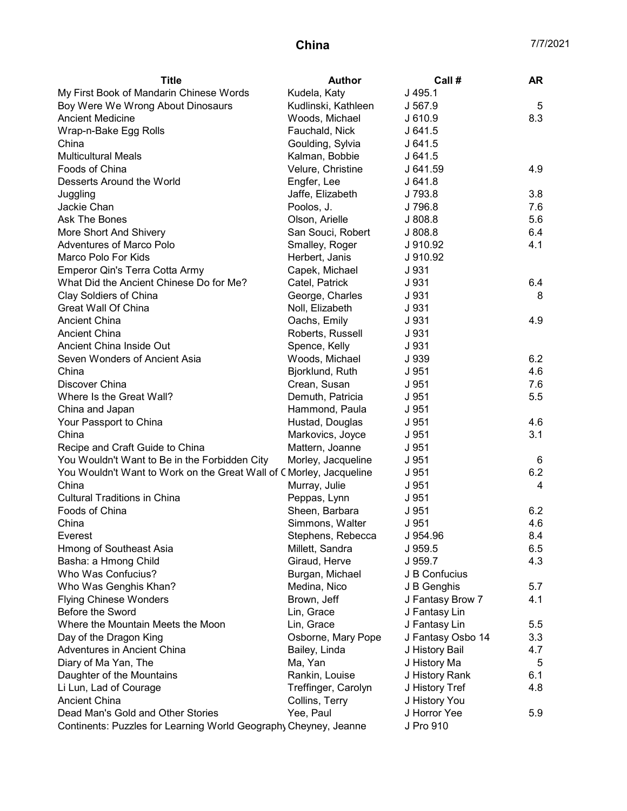| My First Book of Mandarin Chinese Words<br>Kudela, Katy<br>$J$ 495.1          |                |
|-------------------------------------------------------------------------------|----------------|
| Boy Were We Wrong About Dinosaurs<br>Kudlinski, Kathleen<br>J 567.9           | 5              |
| <b>Ancient Medicine</b><br>Woods, Michael<br>J 610.9                          | 8.3            |
| J641.5<br>Wrap-n-Bake Egg Rolls<br>Fauchald, Nick                             |                |
| Goulding, Sylvia<br>China<br>J641.5                                           |                |
| <b>Multicultural Meals</b><br>Kalman, Bobbie<br>J641.5                        |                |
| Foods of China<br>Velure, Christine<br>J 641.59                               | 4.9            |
| Desserts Around the World<br>Engfer, Lee<br>J641.8                            |                |
| Jaffe, Elizabeth<br>J 793.8<br>Juggling                                       | 3.8            |
| Jackie Chan<br>Poolos, J.<br>J 796.8                                          | 7.6            |
| Olson, Arielle<br>J 808.8<br>Ask The Bones                                    | 5.6            |
| More Short And Shivery<br>San Souci, Robert<br>J 808.8                        | 6.4            |
| <b>Adventures of Marco Polo</b><br>Smalley, Roger<br>J 910.92                 | 4.1            |
| Marco Polo For Kids<br>J 910.92<br>Herbert, Janis                             |                |
| Emperor Qin's Terra Cotta Army<br>J 931<br>Capek, Michael                     |                |
| What Did the Ancient Chinese Do for Me?<br>J 931<br>Catel, Patrick            | 6.4            |
| Clay Soldiers of China<br>J 931<br>George, Charles                            | 8              |
| <b>Great Wall Of China</b><br>Noll, Elizabeth<br>J 931                        |                |
| Ancient China<br>Oachs, Emily<br>J 931                                        | 4.9            |
| <b>Ancient China</b><br>Roberts, Russell<br>J 931                             |                |
| Ancient China Inside Out<br>Spence, Kelly<br>J 931                            |                |
| Seven Wonders of Ancient Asia<br>Woods, Michael<br>J 939                      | 6.2            |
| China<br>Bjorklund, Ruth<br>J 951                                             | 4.6            |
| Discover China<br>Crean, Susan<br>J 951                                       | 7.6            |
| Where Is the Great Wall?<br>Demuth, Patricia<br>J 951                         | 5.5            |
| Hammond, Paula<br>J 951<br>China and Japan                                    |                |
| J 951<br>Your Passport to China<br>Hustad, Douglas                            | 4.6            |
| China<br>Markovics, Joyce<br>J 951                                            | 3.1            |
| Mattern, Joanne<br>Recipe and Craft Guide to China<br>J 951                   |                |
| You Wouldn't Want to Be in the Forbidden City<br>Morley, Jacqueline<br>J 951  | 6              |
| You Wouldn't Want to Work on the Great Wall of CMorley, Jacqueline<br>J 951   | 6.2            |
| China<br>Murray, Julie<br>J 951                                               | $\overline{4}$ |
| <b>Cultural Traditions in China</b><br>Peppas, Lynn<br>J 951                  |                |
| Foods of China<br>Sheen, Barbara<br>J 951                                     | 6.2            |
| J 951<br>China<br>Simmons, Walter                                             | 4.6            |
| Stephens, Rebecca<br>J 954.96<br>Everest                                      | 8.4            |
| Hmong of Southeast Asia<br>Millett, Sandra<br>J 959.5                         | 6.5            |
| Basha: a Hmong Child<br>Giraud, Herve<br>J 959.7                              | 4.3            |
| Who Was Confucius?<br>Burgan, Michael<br>J B Confucius                        |                |
| Who Was Genghis Khan?<br>Medina, Nico<br>J B Genghis                          | 5.7            |
| <b>Flying Chinese Wonders</b><br>Brown, Jeff<br>J Fantasy Brow 7              | 4.1            |
| Before the Sword<br>J Fantasy Lin<br>Lin, Grace                               |                |
| Where the Mountain Meets the Moon<br>Lin, Grace<br>J Fantasy Lin              | 5.5            |
| Day of the Dragon King<br>Osborne, Mary Pope<br>J Fantasy Osbo 14             | 3.3            |
| Adventures in Ancient China<br>Bailey, Linda<br>J History Bail                | 4.7            |
| Diary of Ma Yan, The<br>Ma, Yan<br>J History Ma                               | 5              |
| Rankin, Louise<br>Daughter of the Mountains<br>J History Rank                 | 6.1            |
| Treffinger, Carolyn<br>Li Lun, Lad of Courage<br>J History Tref               | 4.8            |
| <b>Ancient China</b><br>Collins, Terry<br>J History You                       |                |
| Dead Man's Gold and Other Stories<br>Yee, Paul<br>J Horror Yee                | 5.9            |
| Continents: Puzzles for Learning World Geography Cheyney, Jeanne<br>J Pro 910 |                |